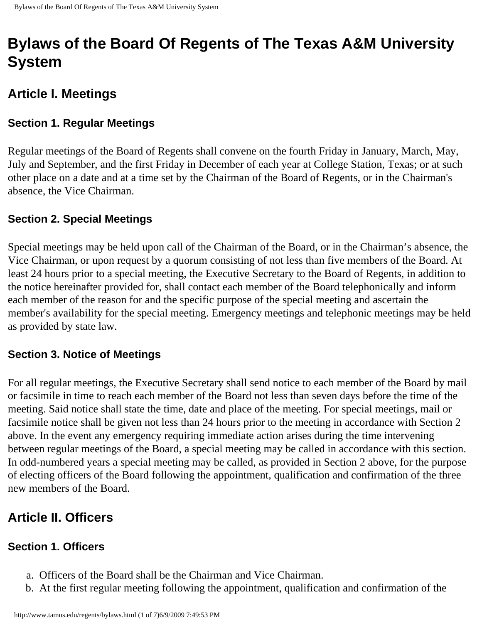# **Bylaws of the Board Of Regents of The Texas A&M University System**

# **Article I. Meetings**

#### **Section 1. Regular Meetings**

Regular meetings of the Board of Regents shall convene on the fourth Friday in January, March, May, July and September, and the first Friday in December of each year at College Station, Texas; or at such other place on a date and at a time set by the Chairman of the Board of Regents, or in the Chairman's absence, the Vice Chairman.

#### **Section 2. Special Meetings**

Special meetings may be held upon call of the Chairman of the Board, or in the Chairman's absence, the Vice Chairman, or upon request by a quorum consisting of not less than five members of the Board. At least 24 hours prior to a special meeting, the Executive Secretary to the Board of Regents, in addition to the notice hereinafter provided for, shall contact each member of the Board telephonically and inform each member of the reason for and the specific purpose of the special meeting and ascertain the member's availability for the special meeting. Emergency meetings and telephonic meetings may be held as provided by state law.

#### **Section 3. Notice of Meetings**

For all regular meetings, the Executive Secretary shall send notice to each member of the Board by mail or facsimile in time to reach each member of the Board not less than seven days before the time of the meeting. Said notice shall state the time, date and place of the meeting. For special meetings, mail or facsimile notice shall be given not less than 24 hours prior to the meeting in accordance with Section 2 above. In the event any emergency requiring immediate action arises during the time intervening between regular meetings of the Board, a special meeting may be called in accordance with this section. In odd-numbered years a special meeting may be called, as provided in Section 2 above, for the purpose of electing officers of the Board following the appointment, qualification and confirmation of the three new members of the Board.

# **Article II. Officers**

#### **Section 1. Officers**

- a. Officers of the Board shall be the Chairman and Vice Chairman.
- b. At the first regular meeting following the appointment, qualification and confirmation of the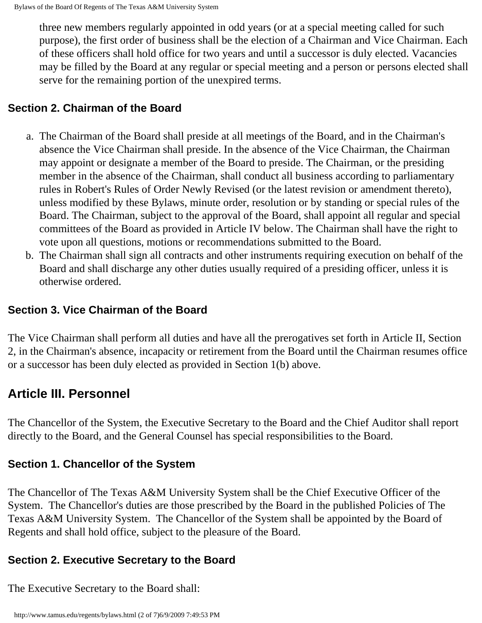three new members regularly appointed in odd years (or at a special meeting called for such purpose), the first order of business shall be the election of a Chairman and Vice Chairman. Each of these officers shall hold office for two years and until a successor is duly elected. Vacancies may be filled by the Board at any regular or special meeting and a person or persons elected shall serve for the remaining portion of the unexpired terms.

#### **Section 2. Chairman of the Board**

- a. The Chairman of the Board shall preside at all meetings of the Board, and in the Chairman's absence the Vice Chairman shall preside. In the absence of the Vice Chairman, the Chairman may appoint or designate a member of the Board to preside. The Chairman, or the presiding member in the absence of the Chairman, shall conduct all business according to parliamentary rules in Robert's Rules of Order Newly Revised (or the latest revision or amendment thereto), unless modified by these Bylaws, minute order, resolution or by standing or special rules of the Board. The Chairman, subject to the approval of the Board, shall appoint all regular and special committees of the Board as provided in Article IV below. The Chairman shall have the right to vote upon all questions, motions or recommendations submitted to the Board.
- b. The Chairman shall sign all contracts and other instruments requiring execution on behalf of the Board and shall discharge any other duties usually required of a presiding officer, unless it is otherwise ordered.

#### **Section 3. Vice Chairman of the Board**

The Vice Chairman shall perform all duties and have all the prerogatives set forth in Article II, Section 2, in the Chairman's absence, incapacity or retirement from the Board until the Chairman resumes office or a successor has been duly elected as provided in Section 1(b) above.

# **Article III. Personnel**

The Chancellor of the System, the Executive Secretary to the Board and the Chief Auditor shall report directly to the Board, and the General Counsel has special responsibilities to the Board.

#### **Section 1. Chancellor of the System**

The Chancellor of The Texas A&M University System shall be the Chief Executive Officer of the System. The Chancellor's duties are those prescribed by the Board in the published Policies of The Texas A&M University System. The Chancellor of the System shall be appointed by the Board of Regents and shall hold office, subject to the pleasure of the Board.

#### **Section 2. Executive Secretary to the Board**

The Executive Secretary to the Board shall: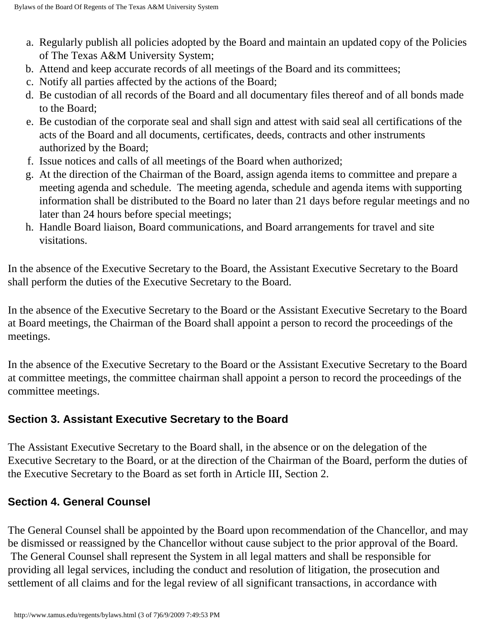- a. Regularly publish all policies adopted by the Board and maintain an updated copy of the Policies of The Texas A&M University System;
- b. Attend and keep accurate records of all meetings of the Board and its committees;
- c. Notify all parties affected by the actions of the Board;
- d. Be custodian of all records of the Board and all documentary files thereof and of all bonds made to the Board;
- e. Be custodian of the corporate seal and shall sign and attest with said seal all certifications of the acts of the Board and all documents, certificates, deeds, contracts and other instruments authorized by the Board;
- f. Issue notices and calls of all meetings of the Board when authorized;
- g. At the direction of the Chairman of the Board, assign agenda items to committee and prepare a meeting agenda and schedule. The meeting agenda, schedule and agenda items with supporting information shall be distributed to the Board no later than 21 days before regular meetings and no later than 24 hours before special meetings;
- h. Handle Board liaison, Board communications, and Board arrangements for travel and site visitations.

In the absence of the Executive Secretary to the Board, the Assistant Executive Secretary to the Board shall perform the duties of the Executive Secretary to the Board.

In the absence of the Executive Secretary to the Board or the Assistant Executive Secretary to the Board at Board meetings, the Chairman of the Board shall appoint a person to record the proceedings of the meetings.

In the absence of the Executive Secretary to the Board or the Assistant Executive Secretary to the Board at committee meetings, the committee chairman shall appoint a person to record the proceedings of the committee meetings.

#### **Section 3. Assistant Executive Secretary to the Board**

The Assistant Executive Secretary to the Board shall, in the absence or on the delegation of the Executive Secretary to the Board, or at the direction of the Chairman of the Board, perform the duties of the Executive Secretary to the Board as set forth in Article III, Section 2.

#### **Section 4. General Counsel**

The General Counsel shall be appointed by the Board upon recommendation of the Chancellor, and may be dismissed or reassigned by the Chancellor without cause subject to the prior approval of the Board. The General Counsel shall represent the System in all legal matters and shall be responsible for providing all legal services, including the conduct and resolution of litigation, the prosecution and settlement of all claims and for the legal review of all significant transactions, in accordance with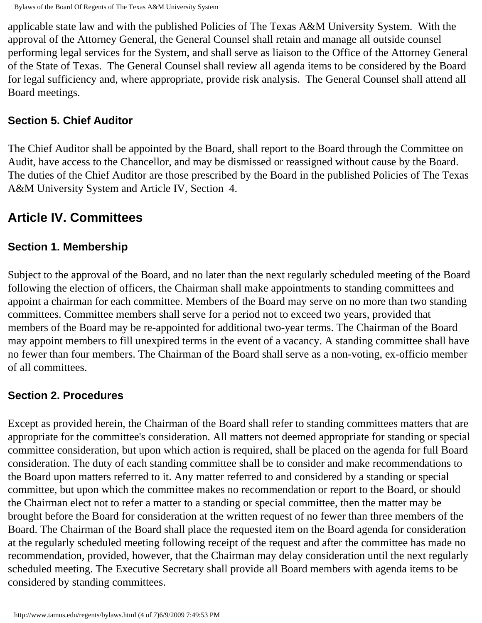applicable state law and with the published Policies of The Texas A&M University System. With the approval of the Attorney General, the General Counsel shall retain and manage all outside counsel performing legal services for the System, and shall serve as liaison to the Office of the Attorney General of the State of Texas. The General Counsel shall review all agenda items to be considered by the Board for legal sufficiency and, where appropriate, provide risk analysis. The General Counsel shall attend all Board meetings.

#### **Section 5. Chief Auditor**

The Chief Auditor shall be appointed by the Board, shall report to the Board through the Committee on Audit, have access to the Chancellor, and may be dismissed or reassigned without cause by the Board. The duties of the Chief Auditor are those prescribed by the Board in the published Policies of The Texas A&M University System and Article IV, Section 4.

# **Article IV. Committees**

#### **Section 1. Membership**

Subject to the approval of the Board, and no later than the next regularly scheduled meeting of the Board following the election of officers, the Chairman shall make appointments to standing committees and appoint a chairman for each committee. Members of the Board may serve on no more than two standing committees. Committee members shall serve for a period not to exceed two years, provided that members of the Board may be re-appointed for additional two-year terms. The Chairman of the Board may appoint members to fill unexpired terms in the event of a vacancy. A standing committee shall have no fewer than four members. The Chairman of the Board shall serve as a non-voting, ex-officio member of all committees.

#### **Section 2. Procedures**

Except as provided herein, the Chairman of the Board shall refer to standing committees matters that are appropriate for the committee's consideration. All matters not deemed appropriate for standing or special committee consideration, but upon which action is required, shall be placed on the agenda for full Board consideration. The duty of each standing committee shall be to consider and make recommendations to the Board upon matters referred to it. Any matter referred to and considered by a standing or special committee, but upon which the committee makes no recommendation or report to the Board, or should the Chairman elect not to refer a matter to a standing or special committee, then the matter may be brought before the Board for consideration at the written request of no fewer than three members of the Board. The Chairman of the Board shall place the requested item on the Board agenda for consideration at the regularly scheduled meeting following receipt of the request and after the committee has made no recommendation, provided, however, that the Chairman may delay consideration until the next regularly scheduled meeting. The Executive Secretary shall provide all Board members with agenda items to be considered by standing committees.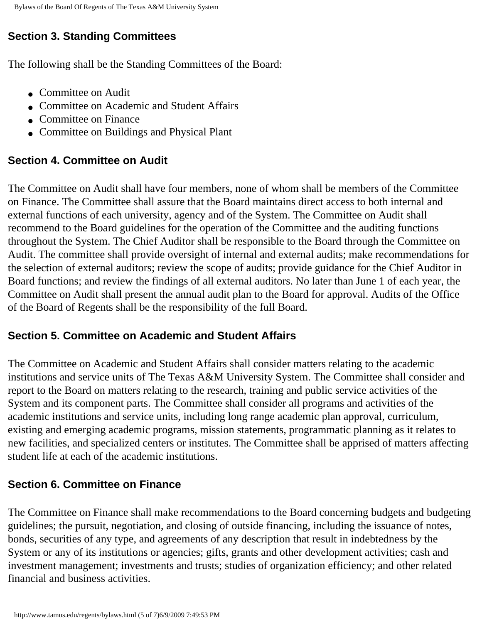### **Section 3. Standing Committees**

The following shall be the Standing Committees of the Board:

- Committee on Audit
- Committee on Academic and Student Affairs
- Committee on Finance
- Committee on Buildings and Physical Plant

#### **Section 4. Committee on Audit**

The Committee on Audit shall have four members, none of whom shall be members of the Committee on Finance. The Committee shall assure that the Board maintains direct access to both internal and external functions of each university, agency and of the System. The Committee on Audit shall recommend to the Board guidelines for the operation of the Committee and the auditing functions throughout the System. The Chief Auditor shall be responsible to the Board through the Committee on Audit. The committee shall provide oversight of internal and external audits; make recommendations for the selection of external auditors; review the scope of audits; provide guidance for the Chief Auditor in Board functions; and review the findings of all external auditors. No later than June 1 of each year, the Committee on Audit shall present the annual audit plan to the Board for approval. Audits of the Office of the Board of Regents shall be the responsibility of the full Board.

#### **Section 5. Committee on Academic and Student Affairs**

The Committee on Academic and Student Affairs shall consider matters relating to the academic institutions and service units of The Texas A&M University System. The Committee shall consider and report to the Board on matters relating to the research, training and public service activities of the System and its component parts. The Committee shall consider all programs and activities of the academic institutions and service units, including long range academic plan approval, curriculum, existing and emerging academic programs, mission statements, programmatic planning as it relates to new facilities, and specialized centers or institutes. The Committee shall be apprised of matters affecting student life at each of the academic institutions.

#### **Section 6. Committee on Finance**

The Committee on Finance shall make recommendations to the Board concerning budgets and budgeting guidelines; the pursuit, negotiation, and closing of outside financing, including the issuance of notes, bonds, securities of any type, and agreements of any description that result in indebtedness by the System or any of its institutions or agencies; gifts, grants and other development activities; cash and investment management; investments and trusts; studies of organization efficiency; and other related financial and business activities.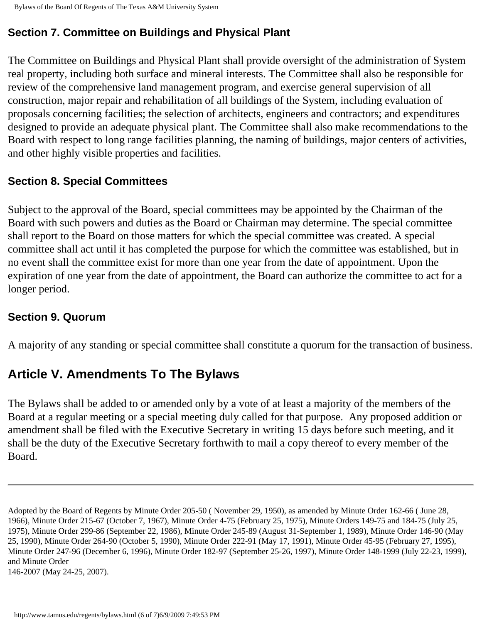### **Section 7. Committee on Buildings and Physical Plant**

The Committee on Buildings and Physical Plant shall provide oversight of the administration of System real property, including both surface and mineral interests. The Committee shall also be responsible for review of the comprehensive land management program, and exercise general supervision of all construction, major repair and rehabilitation of all buildings of the System, including evaluation of proposals concerning facilities; the selection of architects, engineers and contractors; and expenditures designed to provide an adequate physical plant. The Committee shall also make recommendations to the Board with respect to long range facilities planning, the naming of buildings, major centers of activities, and other highly visible properties and facilities.

### **Section 8. Special Committees**

Subject to the approval of the Board, special committees may be appointed by the Chairman of the Board with such powers and duties as the Board or Chairman may determine. The special committee shall report to the Board on those matters for which the special committee was created. A special committee shall act until it has completed the purpose for which the committee was established, but in no event shall the committee exist for more than one year from the date of appointment. Upon the expiration of one year from the date of appointment, the Board can authorize the committee to act for a longer period.

### **Section 9. Quorum**

A majority of any standing or special committee shall constitute a quorum for the transaction of business.

# **Article V. Amendments To The Bylaws**

The Bylaws shall be added to or amended only by a vote of at least a majority of the members of the Board at a regular meeting or a special meeting duly called for that purpose. Any proposed addition or amendment shall be filed with the Executive Secretary in writing 15 days before such meeting, and it shall be the duty of the Executive Secretary forthwith to mail a copy thereof to every member of the Board.

Adopted by the Board of Regents by Minute Order 205-50 ( November 29, 1950), as amended by Minute Order 162-66 ( June 28, 1966), Minute Order 215-67 (October 7, 1967), Minute Order 4-75 (February 25, 1975), Minute Orders 149-75 and 184-75 (July 25, 1975), Minute Order 299-86 (September 22, 1986), Minute Order 245-89 (August 31-September 1, 1989), Minute Order 146-90 (May 25, 1990), Minute Order 264-90 (October 5, 1990), Minute Order 222-91 (May 17, 1991), Minute Order 45-95 (February 27, 1995), Minute Order 247-96 (December 6, 1996), Minute Order 182-97 (September 25-26, 1997), Minute Order 148-1999 (July 22-23, 1999), and Minute Order

<sup>146-2007 (</sup>May 24-25, 2007).